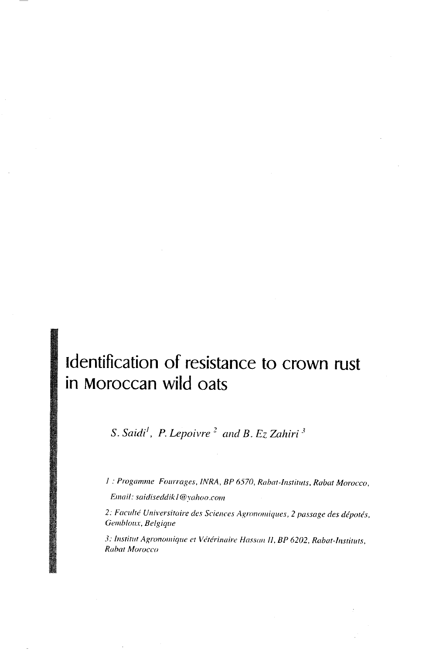# Identification of resistance to crown rust in Moroccan wild oats

S. Saidi<sup>1</sup>, P. Lepoivre<sup>2</sup> and B. Ez Zahiri<sup>3</sup>

1 : Progamme Fourrages, INRA, BP 6570, Rabat-Instituts, Rabat Morocco, Email: saidiseddik1@yahoo.com

2: Faculté Universitaire des Sciences Agronomiques, 2 passage des dépotés, Gembloux, Belgique

3: Institut Agronomique et Vétérinaire Hassan II, BP 6202, Rabat-Instituts, Rabat Morocco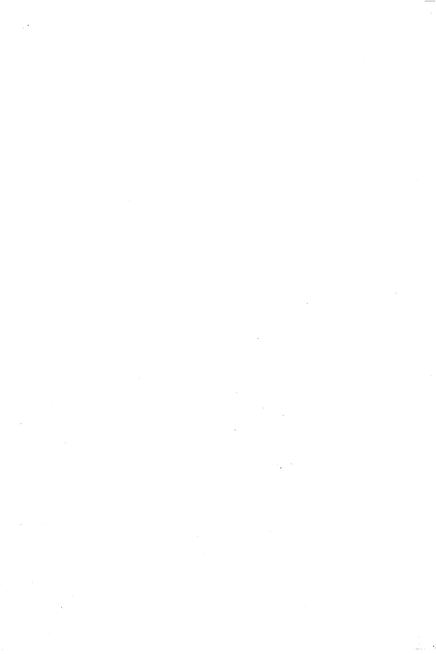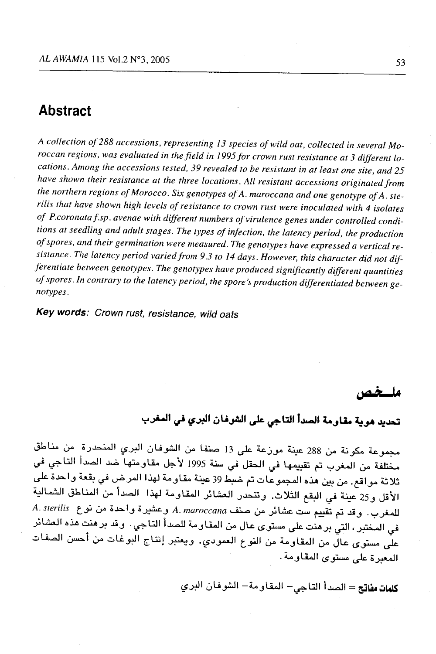### **Abstract**

A collection of 288 accessions, representing 13 species of wild oat, collected in several Moroccan regions, was evaluated in the field in 1995 for crown rust resistance at 3 different locations. Among the accessions tested, 39 revealed to be resistant in at least one site, and 25 have shown their resistance at the three locations. All resistant accessions originated from the northern regions of Morocco. Six genotypes of A. maroccana and one genotype of A. sterilis that have shown high levels of resistance to crown rust were inoculated with 4 isolates of P.coronata f.sp. avenae with different numbers of virulence genes under controlled conditions at seedling and adult stages. The types of infection, the latency period, the production of spores, and their germination were measured. The genotypes have expressed a vertical resistance. The latency period varied from 9.3 to 14 days. However, this character did not differentiate between genotypes. The genotypes have produced significantly different quantities of spores. In contrary to the latency period, the spore's production differentiated between genotypes.

Key words: Crown rust, resistance, wild oats

ملسخص

# تحديد هوية مقاومة الصدأ التاجي على الشوفان البري في المغرب

مجموعة مكونة من 288 عينة موزعة على 13 صنفا من الشوفان البري المنحدرة من مناطق مختلفة من المغرب تم تقييمها في الحقل في سنة 1995 لأجل مقاومتها ضد الصدأ التاجي في ثلاثة مواقع. من بين هذه المجموعات تم ضبط 39 عينة مقاومة لهذا المرض في بقعة واحدةً علىً الأقل و25 عينة في البقع الثلاث. وتنحدر العشائر المقاومة لهذا الصدأ من المناطق الشمالية للمغرب. وقد تم تقييم ست عشائر من صنف A. maroccana وعشيرة واحدة من نوع A. sterilis في المختبر ، التي برهنت على مستوى عال من المقاومة للصدأ التاجي . وقد برهنت هذه العشائر على مستوى عال من المقاومة من النوع العمودي. ويعتبر إنتاج البوغات من أحسن الصفات المعبرة على مستوى المقاومة .

**كلمات مفاتح = ال**صدأ التاجي – المقاومة – الشوفان البري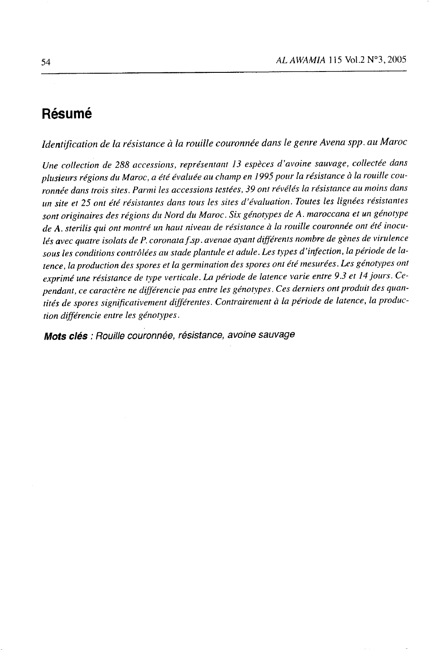# Résumé

Identification de la résistance à la rouille couronnée dans le genre Avena spp. au Maroc

Une collection de 288 accessions, représentant 13 espèces d'avoine sauvage, collectée dans plusieurs régions du Maroc, a été évaluée au champ en 1995 pour la résistance à la rouille couronnée dans trois sites. Parmi les accessions testées, 39 ont révélés la résistance au moins dans tm site et 25 ont été résistantes dans tous les sites d'évaluation.Toutes les lignées résistanles sont originaires des régions du Nord du Maroc. Six génotypes de A. maroccana et un génotype de A. sterilis qui ont montré un haut niveau de résistance à la rouille couronnée ont été inoculés avec quatre isolats de P. coronata f.sp. avenae ayant différents nombre de gènes de virulence sous les conditions contrôlées au stade plantule et adule. Les types d'infection, la période de latence, la production des spores et la germination des spores ont été mesurées. Les génotypes ont exprimé une résistance de type verticale. La période de latence varie entre 9.3 et 14 jours. Cependant, ce caractère ne différencie pas entre les génotypes. Ces derniers ont produit des quantités de spores significativement différentes. Contrairement à la période de latence, la production différencie entre les génotypes.

Mots clés : Rouille couronnée, résistance, avoine sauvage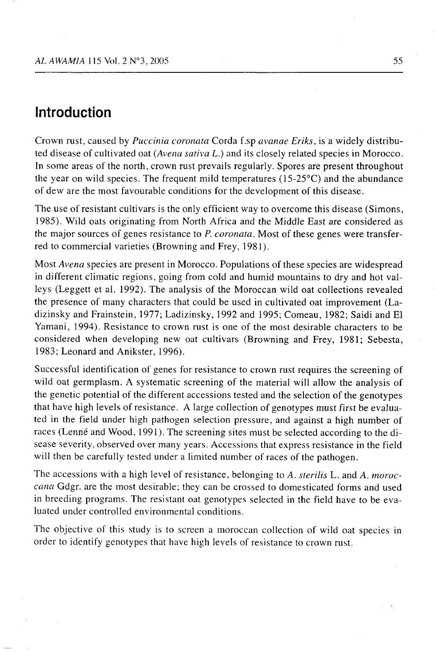# Introduction

Crown rust, caused by *Puccinia coronata* Corda f .sp avanae Eriks, is a widely distributed disease of cultivated oat (Avena sativa L.) and its closely related species in Morocco. In some areas of the north, crown rust prevails regularly. Spores are present throughout the year on wild species. The frequent mild temperatures  $(15{\text -}25^{\circ}C)$  and the abundance of dew are the most favourable conditions for the development of this disease.

The use of resistant cultivars is the only efficient way to overcome this disease (Simons, 1985). Wild oats originating from North Africa and the Middle East are considered as the major sources of genes resistance to P. coronata. Most of these genes were transferred to commercial varieties (Browning and Frey, 1981).

Most *Avena* species are present in Morocco. Populations of these species are widespread in different climatic regions, going from cold and humid mountains to dry and hot valleys (Leggett et al. 1992). The analysis of the Moroccan wild oat collections revealed the presence of many characters that could be used in cultivated oat improvement (Ladizinsky and Frainstein, 1977; Ladizinsky, 1992 and 1995; Comeau, 1982; Saidi and El Yamani, 1994). Resistance to crown rust is one of the most desirable characters to be considered when developing new oat cultivars (Browning and Frey, 1981; Sebesta, 1983; Leonard and Anikster, 1996).

Successful identification of genes for resistance to crown rust requires the screening of wild oat germplasm. A systematic screening of the material will allow the analysis of the genetic potential of the different accessions tested and the selection of the genotypes that have high levels of resistance. A Iarge collection of genotypes must first be evaluated in the field under high pathogen selection pressure, and against a high number of races (Lenné and Wood. l99l). The screening sites must be selected according to the disease severity. observed over many years. Accessions that express resistance in the field will then be carefully tested under a limited number of races of the pathogen.

The accessions with a high level of resistance, belonging to A. sterilis L. and A. moroccana Gdgr. are the most desirable; they can be crossed to domesticated forms and used in breeding programs. The resistant oat genotypes selected in the field have to be evaluated under controlled environmental conditions.

The objective of this study is to screen a moroccan collection of wild oat species in order to identify genotypes that have high levels of resistance to crown rust.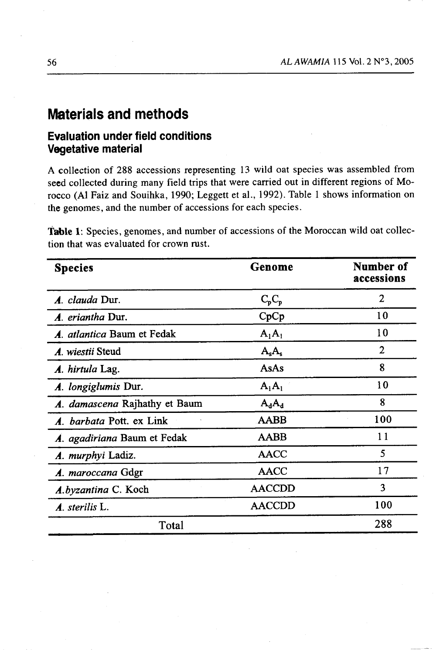# Materials and methods

### Evaluation under field conditions Vegetative material

A collection of 288 accessions representing 13 wild oat species was assembled from seed collected during many field trips that were carried out in different regions of Morocco (Al Faiz and Souihka, 1990; Leggett et al., 1992). Table 1 shows information on the genomes , and the number of accessions for each species.

Tabte 1: Species, genomes, and number of accessions of the Moroccan wild oat collection that was evaluated for crown rust.

| <b>Species</b>                | Genome        | Number of<br>accessions |
|-------------------------------|---------------|-------------------------|
| A. clauda Dur.                | $C_pC_p$      | $\overline{2}$          |
| A. eriantha Dur.              | CpCp          | 10                      |
| A. atlantica Baum et Fedak    | $A_1A_1$      | 10                      |
| A. wiestii Steud              | $A_s A_s$     | 2                       |
| A. hirtula Lag.               | AsAs          | 8                       |
| A. longiglumis Dur.           | $A_1A_1$      | 10                      |
| A. damascena Rajhathy et Baum | $A_dA_d$      | 8                       |
| A. barbata Pott. ex Link      | <b>AABB</b>   | 100                     |
| A. agadiriana Baum et Fedak   | <b>AABB</b>   | 11                      |
| A. murphyi Ladiz.             | <b>AACC</b>   | 5                       |
| A. maroccana Gdgr             | <b>AACC</b>   | 17                      |
| A.byzantina C. Koch           | <b>AACCDD</b> | 3                       |
| A. sterilis L.                | <b>AACCDD</b> | 100                     |
| Total                         |               | 288                     |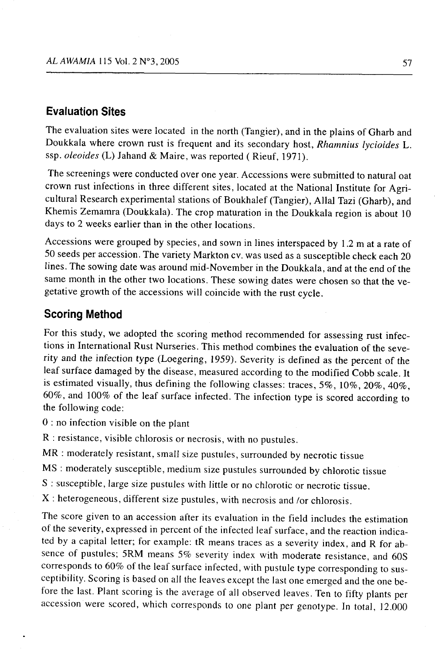#### Evaluation Sites

The evaluation sites were located in the north (Tangier), and in the plains of Gharb and Doukkala where crown rust is frequent and its secondary host, Rhanmius lycioides L. ssp. oleoides (L) Jahand & Maire, was reported (Rieuf, 1971).

The screenings were conducted over one year. Accessions were submitted to natural oat crown rust infections in three different sites, located at the National Institute for Agricultural Research experimental stations of Boukhalef (Tangier), Allal Tazi (Gharb), and Khemis Zemamra (Doukkala). The crop maturation in the Doukkala region is about l0 days to 2 weeks earlier than in the other locations.

Accessions were grouped by species, and sown in lines interspaced by 1.2 m at a rate of 50 seeds per accession. The variety Markton cv. was used as a susceptible check each 20 lines. The sowing date was around mid-November in the Doukkala, and at the end of the same month in the other two locations. These sowing dates were chosen so that the vegetative growth of the accessions will coincide with the rust cycle.

#### Scoring Method

For this study, we adopted the scoring method recommended for assessing rust infections in International Rust Nurseries. This method combines the evaluation of the severity and the infection type (Loegering, 1959). Severity is defined as the percent of the leaf surface damaged by the disease, measured according to the modified Cobb scale. It is estimated visually, thus defining the following classes: traces,  $5\%$ ,  $10\%$ ,  $20\%$ ,  $40\%$ ,  $60\%$ , and  $100\%$  of the leaf surface infected. The infection type is scored according to the following code:

0 : no infection visible on the plant

R : resistance, visible chlorosis or necrosis, with no pustules.

M R : moderately resistant, small size pustules, surrounded by necrotic tissue

M S : moderately susceptible, medium size pustules surrounded by chlorotic tissue

S : susceptible, large size pustules with little or no chlorotic or necrotic tissue.

X heterogeneous, different size pustules, with necrosis and /or chlorosis.

The score given to an accession after its evaluation in the field includes the estimation of the severity, expressed in percent of the infected leaf surface, and the reaction indicated by a capital letter; for example: tR means traces as a severity index, and R for absence of pustules; 5RM means  $5\%$  severity index with moderate resistance, and  $60S$ corresponds to 60% of the leaf surface infected, with pustule type corresponding to susceptibility. Scoring is based on all the leaves except the last one emerged and the one before the last. Plant scoring is the average of all observed leaves. Ten to fifty plants per accession were scored, which corresponds to one plant per genotype. In total, I2.000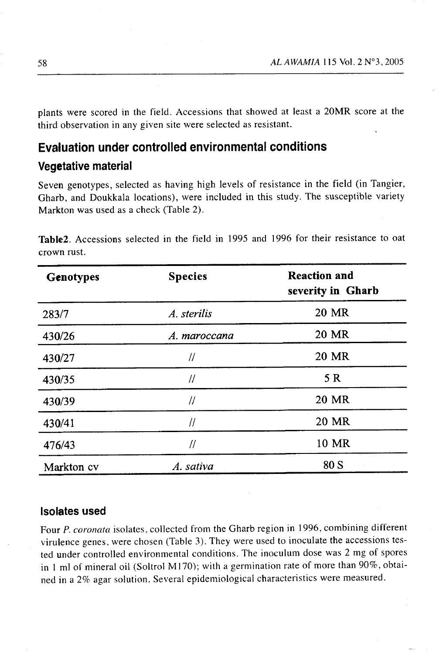plants were scored in the field. Accessions that showed at least a 20MR score at the third observation in any given site were selected as resistant.

### Evaluation under controlled environmental conditions

### Vegetative material

Seven genotypes, selected as having high levels of resistance in the field (in Tangier, Gharb, and Doukkala locations), were included in this study. The susceptible variety Markton was used as a check (Table 2).

Table2. Accessions selected in the field in 1995 and 1996 for their resistance to oat crown rust.

| <b>Species</b><br><b>Genotypes</b> |                   | <b>Reaction and</b><br>severity in Gharb |
|------------------------------------|-------------------|------------------------------------------|
| 283/7                              | A. sterilis       | <b>20 MR</b>                             |
| 430/26                             | A. maroccana      | <b>20 MR</b>                             |
| 430/27                             | $^{\prime\prime}$ | 20 MR                                    |
| 430/35                             | $^{\prime\prime}$ | 5 R                                      |
| 430/39                             | 11                | <b>20 MR</b>                             |
| 430/41                             | $\mu$             | <b>20 MR</b>                             |
| 476/43                             | $^{\prime\prime}$ | 10 MR                                    |
| Markton cv                         | A. sativa         | 80 S                                     |

#### lsolates used

Four P. coronata isolates, collected from the Gharb region in 1996, combining different virulence genes, were chosen (Table 3). They were used to inoculate the accessions tested under controlled environmental conditions. The inoculum dose was 2 mg of spores in 1 ml of mineral oil (Soltrol M170); with a germination rate of more than  $90\%$ , obtained in a 2% agar solution. Several epidemiological characteristics were measured.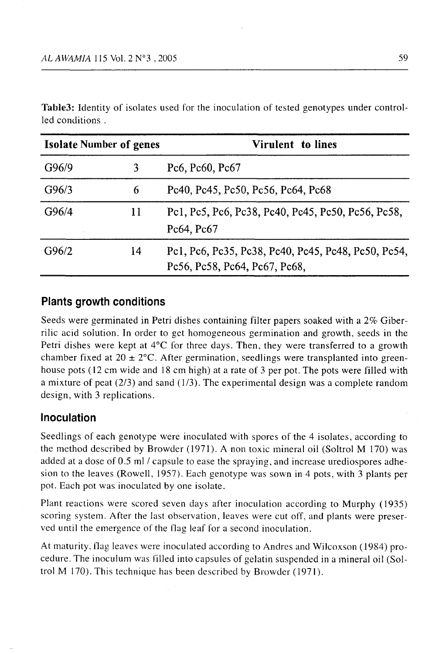| <b>Isolate Number of genes</b> |    | Virulent to lines                                                                    |  |  |  |
|--------------------------------|----|--------------------------------------------------------------------------------------|--|--|--|
| G96/9                          | 3  | Pc6, Pc60, Pc67                                                                      |  |  |  |
| G96/3                          | 6  | Pc40, Pc45, Pc50, Pc56, Pc64, Pc68                                                   |  |  |  |
| G96/4                          | 11 | Pc1, Pc5, Pc6, Pc38, Pc40, Pc45, Pc50, Pc56, Pc58,<br>Pc64, Pc67                     |  |  |  |
| G96/2                          | 14 | Pc1, Pc6, Pc35, Pc38, Pc40, Pc45, Pc48, Pc50, Pc54,<br>Pc56, Pc58, Pc64, Pc67, Pc68, |  |  |  |

Table3: Identity of isolates used for the inoculation of tested genotypes under controlled conditions

#### Plants growth conditions

Seeds were germinated in Petri dishes containing filter papers soaked with a  $2\%$  Giberrilic acid solution. In order to get homogeneous germination and growth, seeds in the Petri dishes were kept at  $4^{\circ}$ C for three days. Then, they were transferred to a growth chamber fixed at  $20 \pm 2^{\circ}$ C. After germination, seedlings were transplanted into greenhouse pots (12 cm wide and 18 cm high) at a rate of 3 per pot. The pots were filled with a mixture of peat (213) and sand (1/3). The experimental design was a complete random design. with 3 replications.

#### Inoculation

Seedlings of each genotype were inoculated with spores of the 4 isolates, according to the method described by Browder (1971). A non toxic mineral oil (Soltrol M 170) was added at a dose of 0.5 ml / capsule to ease the spraying, and increase urediospores adhesion to the leaves (Rowell, 1957). Each genotype was sown in 4 pots, with 3 plants per pot. Each pot was inoculated by one isolate.

Plant reactions were scored seven days after inoculation according to Murphy (1935) scoring system. After the last observation, leaves were cut off, and plants were preserved until the emergence of the flag leaf for a second inoculation.

At maturity. flag leaves were inoculated according to Andres and Wilcoxson (1984) procedure. The inoculum was filled into capsules of gelatin suspended in a mineral oil (Soltrol  $M$  170). This technique has been described by Browder (1971).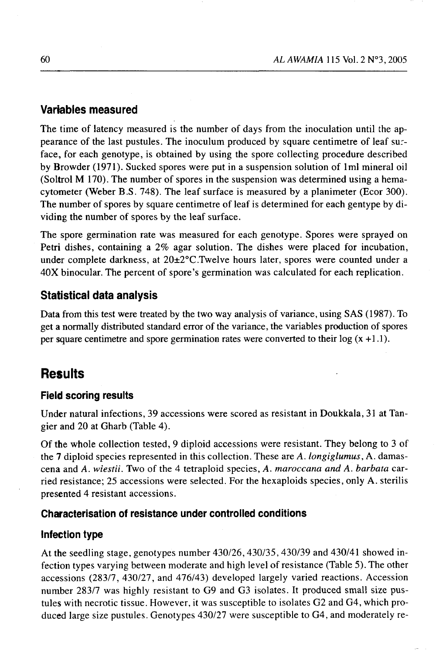#### Variables measured

The time of latency measured is the number of days from the inoculation until the appearance of the last pustules. The inoculum produced by square centimetre of leaf su: face, for each genotype, is obtained by using the spore collecting procedure described by Browder (1971). Sucked spores were put in a suspension solution of lml mineral oil (Soltrol M 170). The number of spores in the suspension was determined using a hemacytometer (Weber B.S. 748). The leaf surface is measured by a planimeter (Ecor 300). The number of spores by square centimetre of leaf is determined for each gentype by dividing the number of spores by the leaf surface.

The spore germination rate was measured for each genotype. Spores were sprayed on Petri dishes, containing a  $2\%$  agar solution. The dishes were placed for incubation, under complete darkness, at  $20\pm2^{\circ}$ C.Twelve hours later, spores were counted under a 40X binocular. The percent of spore's germination was calculated for each replication.

#### Statistical data analysis

Data from this test were treated by the two way analysis of variance, using SAS (1987). To get a normally distributed standard error of the variance, the variables production of spores per square centimetre and spore germination rates were converted to their  $log(x + 1.1)$ .

### **Results**

#### Field scoring results

Under natural infections,39 accessions were scored as resistant in Doukkala,3l at Tangier and 20 at Gharb (Table 4).

Of the whole collection tested,9 diploid accessions were resistant. They belong to 3 of the 7 diploid species represented in this collection. These are  $A$ . longiglumus,  $A$ . damascena and A. wiestii. Two of the 4 tetraploid species,  $A$ . maroccana and  $A$ . barbata carried resistance; 25 accessions were selected. For the hexaploids species, only A. sterilis presented 4 resistant accessions.

#### Chaacterisation of resistance under controlled conditions

#### Infection type

At the seedling stage, genotypes number 430/26, 430/35, 430/39 and 430/41 showed infection types varying between moderate and high level of resistance (Table 5). The other accessions (28317,430127, and 476143) developed largely varied reactions. Accession number 28317 was highly resistant to G9 and G3 isolates. It produced small size pustules with necrotic tissue. However, it was susceptible to isolates G2 and G4, which produced large size pustules. Genotypes 430127 were susceptible to G4, and moderately re-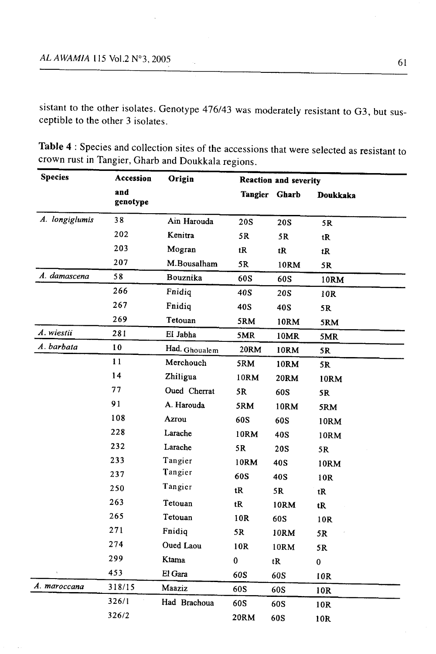sistant to the other isolates. Genotype 476/43 was moderately resistant to G3, but susceptible to the other 3 isolates.

| <b>Species</b> | Accession       | Origin        | <b>Reaction and severity</b> |                      |             |
|----------------|-----------------|---------------|------------------------------|----------------------|-------------|
|                | and<br>genotype |               |                              | <b>Tangier Gharb</b> | Doukkaka    |
| A. longiglumis | 38              | Ain Harouda   | <b>20S</b>                   | 20S                  | 5R          |
|                | 202             | Kenitra       | 5R                           | 5R                   | tR          |
|                | 203             | Mogran        | tR                           | tR                   | tR          |
|                | 207             | M.Bousalham   | 5R                           | <b>10RM</b>          | 5R          |
| A. damascena   | 58              | Bouznika      | 60S                          | 60S                  | <b>10RM</b> |
|                | 266             | Fnidiq        | 40S                          | 20S                  | 10R         |
|                | 267             | Fnidiq        | 40S                          | 40S                  | 5R          |
|                | 269             | Tetouan       | 5RM                          | 10RM                 | 5RM         |
| A. wiestii     | 281             | El Jabha      | 5MR                          | 10MR                 | 5MR         |
| A. barbata     | 10              | Had. Ghoualem | <b>20RM</b>                  | 10RM                 | 5R          |
|                | 11              | Merchouch     | 5RM                          | 10RM                 | 5R          |
|                | 14              | Zhiligua      | 10RM                         | <b>20RM</b>          | 10RM        |
|                | 77              | Oued Cherrat  | 5R                           | 60S                  | 5R          |
|                | 91              | A. Harouda    | 5RM                          | 10RM                 | 5RM         |
|                | 108             | Azrou         | 60S                          | 60S                  | 10RM        |
|                | 228             | Larache       | 10RM                         | 40S                  | 10RM        |
|                | 232             | Larache       | 5R                           | 20S                  | 5R          |
|                | 233             | Tangier       | 10RM                         | 40S                  | 10RM        |
|                | 237             | Tangier       | 60S                          | 40S                  | 10R         |
|                | 250             | Tangier       | tR                           | 5R                   | tR          |
|                | 263             | Tetouan       | tR                           | 10RM                 | tR          |
|                | 265             | Tetouan       | 10R                          | 60S                  | 10R         |
|                | 271             | Fnidiq        | 5R                           | 10RM                 | 5R          |
|                | 274             | Oued Laou     | 10R                          | 10RM                 | 5R          |
|                | 299             | Ktama         | 0                            | tR                   | $\pmb{0}$   |
|                | 453             | El Gara       | 60S                          | 60S                  | 10R         |
| A. maroccana   | 318/15          | Maaziz        | 60S                          | 60S                  | 10R         |
|                | 326/1           | Had Brachoua  | 60S                          | 60S                  | 10R         |
|                | 326/2           |               | <b>20RM</b>                  | 60S                  | 10R         |

Table 4 : Species and collection sites of the accessions that were selected as resistant to crown rust in Tangier, Gharb and Doukkala regions.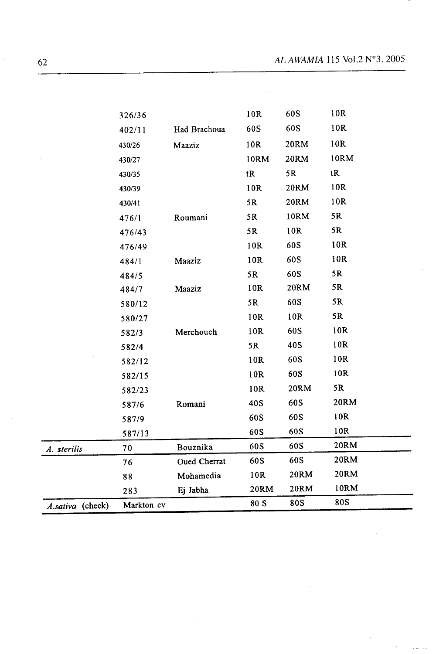| A.sativa (check) | Markton cv |              | 80 S                     | 80S         | 80S         |
|------------------|------------|--------------|--------------------------|-------------|-------------|
|                  | 283        | Ej Jabha     | <b>20RM</b>              | <b>20RM</b> | 10RM        |
|                  | 88         | Mohamedia    | 10R                      | <b>20RM</b> | <b>20RM</b> |
|                  | 76         | Oued Cherrat | 60S                      | 60S         | 20RM        |
| A. sterilis      | 70         | Bouznika     | 60S                      | 60S         | 20RM        |
|                  | 587/13     |              | 60S                      | 60S         | 10R         |
|                  | 587/9      |              | 60S                      | 60S         | 10R         |
|                  | 587/6      | Romani       | 40S                      | 60S         | <b>20RM</b> |
|                  | 582/23     |              | 10R                      | 20RM        | 5R          |
|                  | 582/15     |              | 10R                      | 60S         | 10R         |
|                  | 582/12     |              | 10R                      | 60S         | 10R         |
|                  | 582/4      |              | 5R                       | 40S         | 10R         |
|                  | 582/3      | Merchouch    | 10R                      | 60S         | 10R         |
|                  | 580/27     |              | 10R                      | 10R         | 5R          |
|                  | 580/12     |              | 5R                       | 60S         | 5R          |
|                  | 484/7      | Maaziz       | 10R                      | 20RM        | 5R          |
|                  | 484/5      |              | 5R                       | 60S         | 5R          |
|                  | 484/1      | Maaziz       | 10R                      | 60S         | 10R         |
|                  | 476/49     |              | 10R                      | 60S         | 10R         |
|                  | 476/43     |              | 5R                       | 10R         | 5R          |
|                  | 476/1      | Roumani      | 5R                       | 10RM        | 5R          |
|                  | 430/41     |              | 5R                       | <b>20RM</b> | 10R         |
|                  | 430/39     |              | 10R                      | <b>20RM</b> | 10R         |
|                  | 430/35     |              | $\mathfrak{t}\mathbb{R}$ | 5R          | tR          |
|                  | 430/27     |              | 10RM                     | 20RM        | 10RM        |
|                  | 430/26     | Maaziz       | 10R                      | 20RM        | 10R         |
|                  | 402/11     | Had Brachoua | 60S                      | 60S         | 10R         |
|                  | 326/36     |              | 10R                      | 60S         | 10R         |
|                  |            |              |                          |             |             |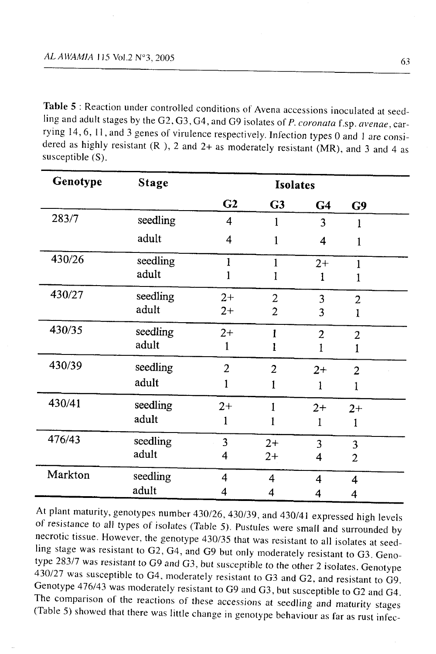Table 5 : Reaction under controlled conditions of Avena accessions inoculated at seedling and adult stages by the G2, G3, G4, and G9 isolates of P. coronata f.sp. avenae, carrying  $14, 6, 11$ , and 3 genes of virulence respectively. Infection types 0 and 1 are considered as highly resistant  $(R)$ , 2 and 2+ as moderately resistant  $(MR)$ , and 3 and 4 as susceptible  $(S)$ .

| <b>Genotype</b> | <b>Stage</b> | <b>Isolates</b> |                |                         |                         |  |  |
|-----------------|--------------|-----------------|----------------|-------------------------|-------------------------|--|--|
|                 |              | G2              | G <sub>3</sub> | G4                      | G9                      |  |  |
| 283/7           | seedling     | $\overline{4}$  | 1              | 3                       | l                       |  |  |
|                 | adult        | 4               | $\mathbf{1}$   | $\overline{\mathbf{4}}$ | 1                       |  |  |
| 430/26          | seedling     | 1               | $\mathbf{1}$   | $2+$                    |                         |  |  |
|                 | adult        | 1               |                | 1                       | 1                       |  |  |
| 430/27          | seedling     | $2+$            | $\overline{2}$ | 3                       | $\overline{2}$          |  |  |
|                 | adult        | $2+$            | $\overline{2}$ | 3                       | $\mathbf{1}$            |  |  |
| 430/35          | seedling     | $2+$            | $\mathbf{I}$   | $\overline{2}$          | $\overline{2}$          |  |  |
|                 | adult        | 1               | l              | 1                       | 1                       |  |  |
| 430/39          | seedling     | $\overline{2}$  | $\overline{2}$ | $2+$                    | $\overline{2}$          |  |  |
|                 | adult        | 1               | 1              | 1                       | 1                       |  |  |
| 430/41          | seedling     | $2+$            | 1              | $2+$                    | $2+$                    |  |  |
|                 | adult        | 1               | 1              | 1                       | 1                       |  |  |
| 476/43          | seedling     | 3               | $2+$           | 3                       | 3                       |  |  |
|                 | adult        | 4               | $2+$           | 4                       | $\overline{2}$          |  |  |
| Markton         | seedling     | $\overline{4}$  | 4              | $\overline{4}$          | $\overline{\mathbf{4}}$ |  |  |
|                 | adult        | 4               | $\overline{4}$ | 4                       | 4                       |  |  |

At plant maturity, genotypes number 430/26, 430/39, and 430/41 expressed high levels<br>of resistance to all types of isolates (Table 5). Pustules were small and surrounded by<br>necrotic tissue. However, the genotype 430/35 th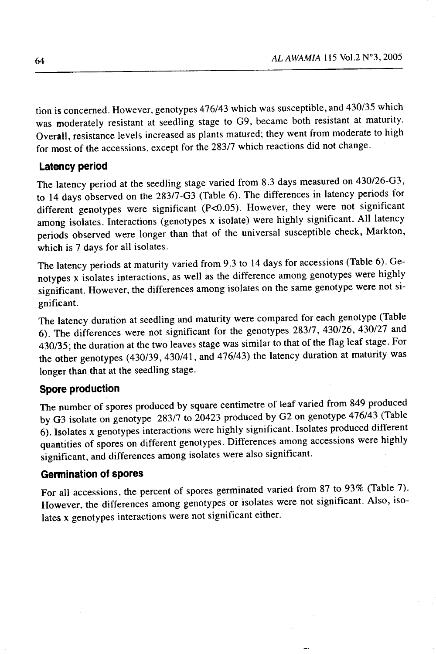tion is concerned. However, genotypes 476/43 which was susceptible, and 430/35 which was moderately resistant at seedling stage to G9, became both resistant at maturity. Overall, resistance levels increased as plants matured; they went from moderate to high for most of the accessions, except for the 283/7 which reactions did not change.

#### Latency period

The latency period at the seedling stage varied from 8.3 days measured on 430/26-G3' to 14 days observed on the 28317-G3 (Table 6). The differences in latency periods for different genotypes were significant (P<0.05). However, they were not significant among isolates. Interactions (genotypes x isolate) were highly significant. All latency periods observed were longer than that of the universal susceptible check, Markton, which is 7 days for all isolates.

The latency periods at maturity varied from 9.3 to 14 days for accessions (Table 6). Genotypes x isolates interactions, as well as the difference among genotypes were highly significant. However, the differences among isolates on the same genotype were not significant.

The latency duration at seedling and maturity were compared for each genotype (Table 6). The differences were not significant for the genotypes 28317,430126,430127 and 430/35; the duration at the two leaves stage was similar to that of the flag leaf stage. For the other genotypes  $(430/39, 430/41,$  and  $476/43)$  the latency duration at maturity was longer than that at the seedling stage.

#### Spore production

The number of spores produced by square centimetre of leaf varied from 849 produced by G3 isolate on genotype 283/7 to 20423 produced by G2 on genotype 476/43 (Table 6). Isolates x genotypes interactions were highly significant. Isolates produced different quantities of spores on different genotypes. Differences among accessions were highly significant, and differences among isolates were also significant.

#### Germination of spores

For all accessions, the percent of spores germinated varied from 87 to 93% (Table 7). However, the differences among genotypes or isolates were not significant. Also, isolates  $x$  genotypes interactions were not significant either.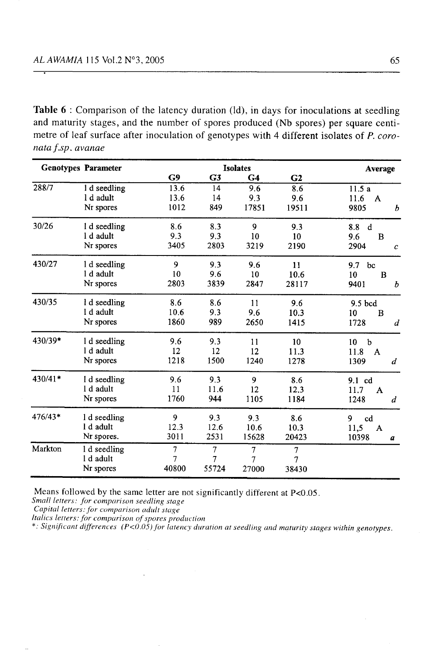#### AL AWAMIA Il5 Vol.2 N'3. 2005

Table 6 : Comparison of the latency duration (ld), in days for inoculations at seedling and maturity stages, and the number of spores produced (Nb spores) per square centimetre of leaf surface after inoculation of genotypes with 4 different isolates of P. coronata f.sp. avanae

|         | <b>Genotypes Parameter</b>              |                      |                     | <b>Isolates</b>      |                      | Average                                                     |
|---------|-----------------------------------------|----------------------|---------------------|----------------------|----------------------|-------------------------------------------------------------|
|         |                                         | G9                   | G <sub>3</sub>      | G4                   | G2                   |                                                             |
| 288/7   | l d seedling<br>1 d adult<br>Nr spores  | 13.6<br>13.6<br>1012 | 14<br>14<br>849     | 9.6<br>9.3<br>17851  | 8.6<br>9.6<br>19511  | 11.5a<br>11.6<br>A<br>9805<br>b                             |
| 30/26   | I d seedling<br>1 d adult<br>Nr spores  | 8.6<br>9.3<br>3405   | 8.3<br>9.3<br>2803  | 9<br>10<br>3219      | 9.3<br>10<br>2190    | 8.8<br>d<br>9.6<br>B<br>2904<br>$\boldsymbol{c}$            |
| 430/27  | 1 d seedling<br>1 d adult<br>Nr spores  | 9<br>10<br>2803      | 9.3<br>9.6<br>3839  | 9.6<br>10<br>2847    | 11<br>10.6<br>28117  | 9.7 bc<br>10<br>B<br>9401<br>b                              |
| 430/35  | I d seedling<br>1 d adult<br>Nr spores  | 8.6<br>10.6<br>1860  | 8.6<br>9.3<br>989   | 11<br>9.6<br>2650    | 9.6<br>10.3<br>1415  | $9.5$ bcd<br>10<br>B<br>1728<br>d                           |
| 430/39* | 1 d seedling<br>l d adult<br>Nr spores  | 9.6<br>12<br>1218    | 9.3<br>12<br>1500   | 11<br>12<br>1240     | 10<br>11.3<br>1278   | 10<br>b<br>11.8<br>$\mathbf{A}$<br>1309<br>$\boldsymbol{d}$ |
| 430/41* | I d seedling<br>1 d adult<br>Nr spores  | 9.6<br>11<br>1760    | 9.3<br>11.6<br>944  | 9<br>12<br>1105      | 8.6<br>12.3<br>1184  | 9.1 cd<br>11.7<br>$\mathbf{A}$<br>1248<br>d                 |
| 476/43* | 1 d seedling<br>1 d adult<br>Nr spores. | 9<br>12.3<br>3011    | 9.3<br>12.6<br>2531 | 9.3<br>10.6<br>15628 | 8.6<br>10.3<br>20423 | 9<br>cd<br>11,5<br>$\mathbf{A}$<br>10398<br>a               |
| Markton | 1 d seedling<br>1 d adult<br>Nr spores  | 7<br>7<br>40800      | 7<br>7<br>55724     | 7<br>7<br>27000      | 7<br>7<br>38430      |                                                             |

Means followed by the same letter are not significantly different at P<0.05.

Small letters: for comparison seedling stage

Capital letters: for comparison adult stage

Italics letters: for comparison of spores production<br>\*: Significant differences (P<0.05) for latency duration at seedling and maturity stages within genotypes.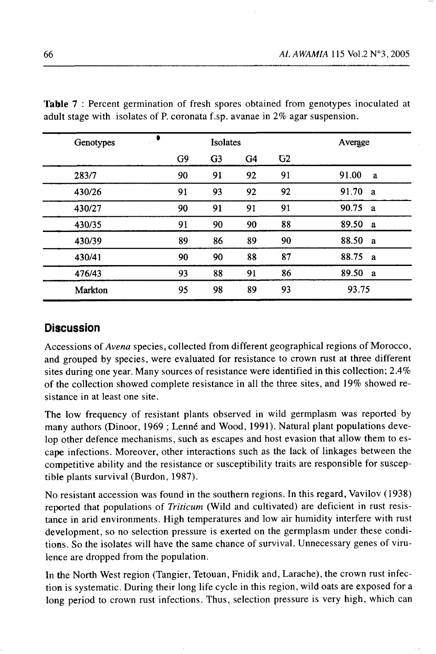| Genotypes |                | <b>Isolates</b> |    |    | Average    |
|-----------|----------------|-----------------|----|----|------------|
|           | G <sub>9</sub> | G <sub>3</sub>  | G4 | G2 |            |
| 283/7     | 90             | 91              | 92 | 91 | 91.00<br>a |
| 430/26    | 91             | 93              | 92 | 92 | 91.70<br>a |
| 430/27    | 90             | 91              | 91 | 91 | 90.75<br>a |
| 430/35    | 91             | 90              | 90 | 88 | 89.50 a    |
| 430/39    | 89             | 86              | 89 | 90 | 88.50 a    |
| 430/41    | 90             | 90              | 88 | 87 | 88.75<br>a |
| 476/43    | 93             | 88              | 91 | 86 | 89.50 a    |
| Markton   | 95             | 98              | 89 | 93 | 93.75      |

Table 7 : Percent germination of fresh spores obtained from genotypes inoculated at adult stage with isolates of P. coronata f.sp. avanae in  $2\%$  agar suspension.

#### **Discussion**

Accessions of Avena species, collected from different geographical regions of Morocco, and grouped by species, were evaluated for resistance to crown rust at three different sites during one year. Many sources of resistance were identified in this collection;  $2.4\%$ of the collection showed complete resistance in all the three sites, and 19% showed resistance in at least one site.

The low frequency of resistant plants observed in wild germplasm was reported by many authors (Dinoor, 1969 ; Lenné and Wood, l99l). Natural plant populations develop other defence mechanisms, such as escapes and host evasion that allow them to escape infections. Moreover, other interactions such as the lack of linkages between the competitive ability and the resistance or susceptibility traits are responsible for susceptible plants survival (Burdon, 1987).

No resistant accession was found in the southern regions.In this regard, Vavilov (1938) reported that populations of Triticum (Wild and cultivated) are deficient in rust resistance in arid environments. High temperatures and low air humidity interfere with rust development, so no selection pressure is exerted on the germplasm under these conditions. So the isolates will have the same chance of survival. Unnecessary genes of virulence are dropped from the population.

In the North West region (Tangier, Tetouan, Fnidik and, Larache), the crown rust infection is systematic. During their long life cycle in this region, wild oats are exposed for a long period to crown rust infections. Thus, selection pressure is very high, which can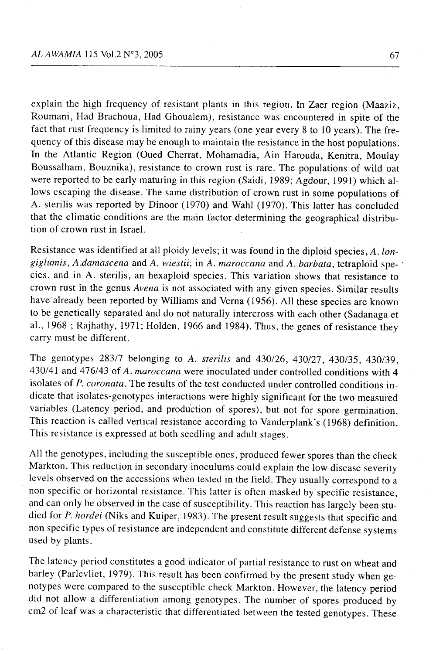explain the high frequency of resistant plants in this region. ln Zaer region (Maaziz, Roumani, Had Brachoua, Had Ghoualem), resistance was encountered in spite of the fact that rust frequency is limited to rainy years (one year every 8 to l0 years). The frequency of this disease may be enough to maintain the resistance in the host populations. In the Atlantic Region (Oued Cherrat, Mohamadia, Ain Harouda, Kenitra, Moulay Boussalham, Bouznika), resistance to crown rust is rare. The populations of wild oat were reported to be early maturing in this region (Saidi, 1989; Agdour, 1991) which allows escaping the disease. The same distribution of crown rust in some populations of A. sterilis was reported by Dinoor (1970) and Wahl (1970). This latter has concluded that the climatic conditions are the main factor determining the geographical distribution of crown rust in Israel.

Resistance was identified at all ploidy levels; it was found in the diploid species, A. longiglumis, A.damascena and A. wiestii; in A. maroccana and A. barbata, tetraploid species, and in A. sterilis, an hexaploid species. This variation shows that resistance to crown rust in the genus Avena is not associated with any given species. Similar results have already been reported by Williams and Verna (1956). All these species are known to be genetically separated and do not naturally intercross with each other (Sadanaga et al., 1968 ; Rajhathy, 1971; Holden, 1966 and 1984). Thus, rhe genes ofresistance they carry must be different.

The genotypes 283/7 belonging to A. sterilis and 430/26, 430/27, 430/35, 430/39, 43Ol4l and 476143 of A. maroccana were inoculated under controlled conditions with 4 isolates of P. coronata. The results of the test conducted under controlled conditions indicate that isolates-genotypes interactions were highly significant for the two measured variables (Latency period, and production of spores), but not for spore germination. This reaction is called vertical resistance according to Vanderplank's (1968) definition. This resistance is expressed at both seedling and adult stages.

All the genotypes, including the susceptible ones, produced fewer spores than the check Markton. This reduction in secondary inoculums could explain the low disease severity levels observed on the accessions when tested in the field. They usually correspond to a non specific or horizontal resistance. This latter is often masked by specific resistance, and can only be observed in the case of susceptibility. This reaction has largely been studied for P. hordei (Niks and Kuiper, 1983). The present result suggests that specific and non specific types of resistance are independent and constitute different defense systems used by plants.

The latency period constitutes a good indicator of partial resistance to rust on wheat and barley (Parlevliet, 1979). This result has been confirmed by the present study when genotypes were compared to the susceptible check Markton. However, the latency period did not allow a differentiation among genotypes. The number of spores produced by cm2 of leaf was a characteristic that differentiated between the tested genotypes. These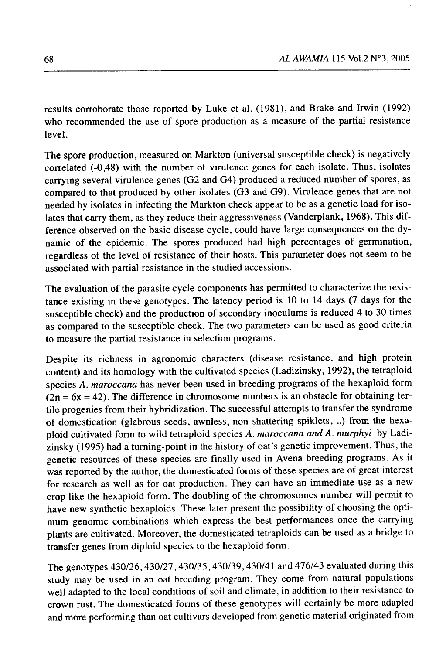results corroborate those reported by Luke et al. (1981), and Brake and Irwin (1992) who recommended the use of spore production as a measure of the partial resistance level.

The spore production, measured on Markton (universal susceptible check) is negatively correlated (-0,48) with the number of virulence genes for each isolate. Thus, isolates carrying several virulence genes (G2 and G4) produced a reduced number of spores, as compared to that produced by other isolates (G3 and G9). Virulence genes that are not needed by isolates in infecting the Markton check appear to be as a genetic load for isolates that carry them, as they reduce their aggressiveness (Vanderplank, 1968). This difference observed on the basic disease cycle, could have large consequences on the dynamic of the epidemic. The spores produced had high percentages of germination, regardless of the level of resistance of their hosts. This parameter does not seem to be associated with partial resistance in the studied accessions.

The evaluation of the parasite cycle components has permitted to characterize the resistance existing in these genotypes. The latency period is l0 to 14 days (7 days for the susceptible check) and the production of secondary inoculums is reduced 4 to 30 times as compared to the susceptible check. The two parameters can be used as good criteria to measure the partial resistance in selection programs.

Despite its richness in agronomic characters (disease resistance, and high protein content) and its homology with the cultivated species (Ladizinsky,1992), the tetraploid species A. maroccana has never been used in breeding programs of the hexaploid form  $(2n = 6x = 42)$ . The difference in chromosome numbers is an obstacle for obtaining fertile progenies from their hybridization. The successful attempts to transfer the syndrome of domestication (glabrous seeds, awnless, non shattering spiklets, ..) from the hexaploid cultivated form to wild tetraploid species A. maroccana and A. murphyi by Ladizinsky (1995) had a turning-point in the history of oat's genetic improvement. Thus, the genetic resources of these species are finally used in Avena breeding programs. As it was reported by the author, the domesticated forms of these species are of great interest for research as well as for oat production. They can have an immediate use as a new crop like the hexaploid form. The doubling of the chromosomes number will permit to have new synthetic hexaploids. These later present the possibility of choosing the optimum genomic combinations which express the best performances once the carrying plants are cultivated. Moreover, the domesticated tetraploids can be used as a bridge to transfer genes from diploid species to the hexaploid form.

The genotypes 430/26, 430/27, 430/35, 430/39, 430/41 and 476/43 evaluated during this study may be used in an oat breeding program. They come from natural populations well adapted to the local conditions of soil and climate, in addition to their resistance to crown rust. The domesticated forms of these genotypes will certainly be more adapted and more performing than oat cultivars developed from genetic material originated from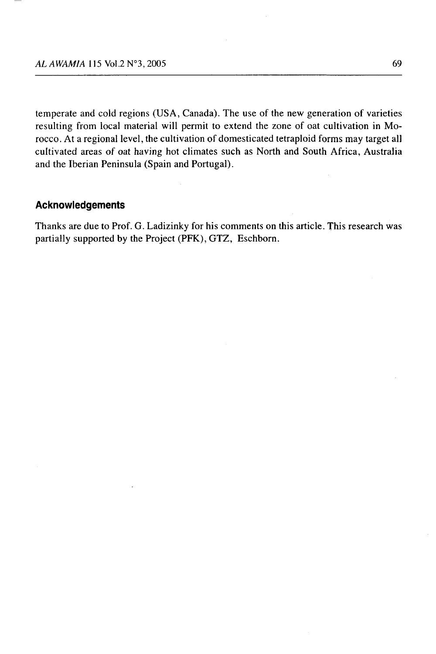temperate and cold regions (USA, Canada). The use of the new generation of varieties resulting from local material will permit to extend the zone of oat cultivation in Morocco. At a regional level, the cultivation of domesticated tetraploid forms may target all cultivated areas of oat having hot climates such as North and South Africa, Australia and the Iberian Peninsula (Spain and Portugal).

#### Acknowledgements

Thanks are due to Prof. G. Ladizinky for his comments on this article. This research was partially supported by the Project (PFK), GTZ, Eschborn.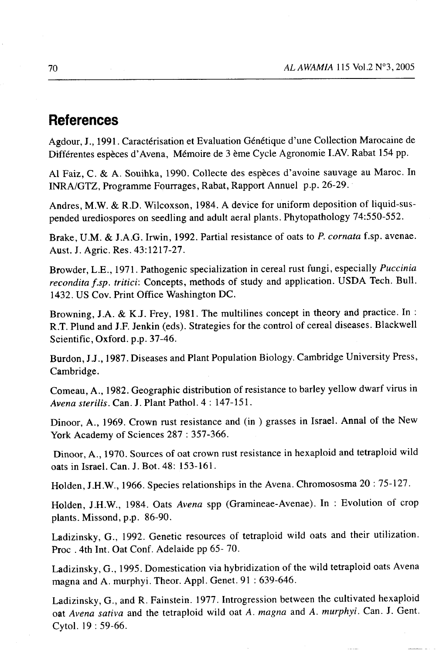### **References**

Agdour, J., 1991. Caractérisation et Evaluation Génétique d'une Collection Marocaine de Différentes espèces d'Avena, Mémoire de 3 ème Cycle Agronomie I.AV. Rabat 154 pp.

Al Faiz, C. & A. Souihka, 1990. Collecte des espèces d'avoine sauvage au Maroc. In INRA/GTZ, Programme Fourrages, Rabat, Rapport Annuel p.p.26-29.

Andres, M.W. & R.D. Wilcoxson, 1984. A device for uniform deposition of liquid-suspended urediospores on seedling and adult aeral plants. Phytopathology 74:550-552.

Brake, U.M. & J.A.G. Irwin, 1992. Partial resistance of oats to P. cornata f.sp. avenae. Aust. J. Agric. Res. 43:1217-27 .

Browder, L.E., 1971. Pathogenic specialization in cereal rust fungi, especially Puccinia recondita f.sp. tritici: Concepts, methods of study and application. USDA Tech. Bull. 1432. US Cov. Print Office Washington DC.

Browning, J.A. & K.J. Frey, 1981. The multilines concept in theory and practice. In : R.T. Plund and J.F. Jenkin (eds). Strategies for the control of cereal diseases. Blackwell Scientific, Oxford. p.p. 37 -46.

Burdon, J.J., 1987. Diseases and Plant Population Biology. Cambridge University Press, Cambridge.

Comeau, A., 1982. Geographic distribution of resistance to barley yellow dwarf virus in Avena sterilis. Can. J. Plant Pathol. 4: 147-151.

Dinoor, A., 1969. Crown rust resistance and (in ) grasses in Israel. Annal of the New York Academy of Sciences 287 : 357-366.

Dinoor. A., 1970. Sources of oat crown rust resistance in hexaploid and tetraploid wild oats in Israel. Can. J. Bot.48: 153-161.

Holden, J.H.W., 1966. Species relationships in the Avena. Chromososma 20: 75-127.

Holden, J.H.W., 1984. Oats Avena spp (Gramineae-Avenae). In : Evolution of crop plants. Missond, p.p. 86-90.

Ladizinsky, G., 1992. Genetic resources of tetraploid wild oats and their utilization. Proc. 4th Int. Oat Conf. Adelaide pp 65-70.

Ladizinsky, G., 1995. Domestication via hybridization of the wild tetraploid oats Avena magna and A. murphyi. Theor. Appl. Genet. 91:639-646.

Ladizinsky, G., and R. Fainstein.1977. lntrogression between the cultivated hexaploid oat Avena sativa and the tetraploid wild oat A. magna and A. murphyi. Can. J. Gent. Cytol. 19: 59-66.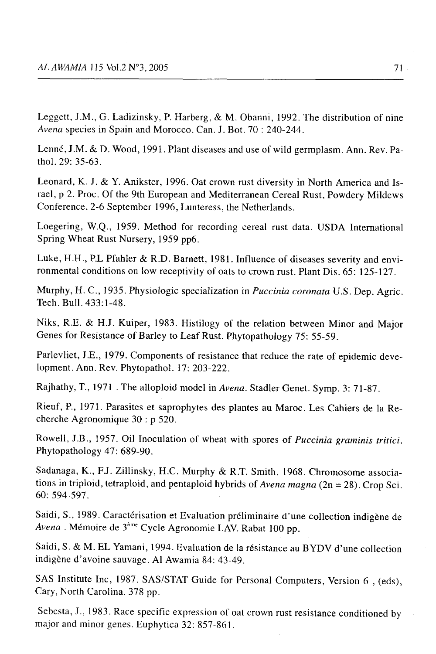Leggett, J.M., G. Ladizinsky, P. Harberg, & M. Obanni,1992. The distribution of nine Avena species in Spain and Morocco. Can. J. Bot. 70 : 240-244.

Lenné, J.M. & D. Wood, 1991. Plant diseases and use of wild germplasm. Ann. Rev. Pathol. 29: 35-63.

Leonard, K. J. & Y. Anikster, 1996. Oat crown rust diversity in North America and Israel, p 2. Proc. Of the 9th European and Mediterranean Cereal Rust, Powdery Mildews Conference. 2-6 September 1996,Lunteress, the Netherlands.

Loegering, W.Q., 1959. Method for recording cereal rust data. USDA International Spring Wheat Rust Nursery, 1959 pp6.

Luke, H.H., P.L Pfahler & R.D. Barnett, 1981. Influence of diseases severity and environmental conditions on low receptivity of oats to crown rust. Plant Dis. 65: 125-127 .

Murphy, H. C., 1935. Physiologic specialization in Puccinia coronata U.S. Dep. Agric. Tech. Bull. 433:l-48.

Niks, R.E. & H.J. Kuiper, 1983. Histilogy of the relation between Minor and Major Genes for Resistance of Barley to Leaf Rust. Phytopathology 75: 55-59.

Parlevliet, J.E., 1979. Components of resistance that reduce the rate of epidemic development. Ann. Rev. Phytopathol. 17: 203-222.

Rajhathy, T., 1971 . The alloploid model in Avena. Stadler Genet. Symp. 3: 71-87.

Rieuf, P.,l9'11. Parasites et saprophytes des plantes au Maroc. Les Cahiers de la Recherche Agronomique 30 : p 520.

Rowell, J.8., 1957. Oil Inoculation of wheat with spores of Puccinia graminis tritici. Phytopathology 47: 689-90.

Sadanaga, K., F.J. Zillinsky, H.c. Murphy & R.T. Smith, 1968. chromosome associations in triploid, tetraploid, and pentaploid hybrids of Avena magna  $(2n = 28)$ . Crop Sci. 6O: 594-597.

Saidi, S., 1989. Caractérisation et Evaluation préliminaire d'une collection indigène de Avena. Mémoire de 3èn" Cycle Agronomie I.AV. Rabat 100 pp.

Saidi, S. & M. EL Yamani, 1994. Evaluation de la résistance au BYDV d'une collection indigène d'avoine sauvage. Al Awamia 84: 43-49.

SAS Institute Inc, 1987. SAS/STAT Guide for Personal Computers, Version 6, (eds), Cary, North Carolina. 378 pp.

Sebesta, J., 1983. Race specific expression of oat crown rust resistance conditioned by major and minor genes. Euphytica 32: 857-861.